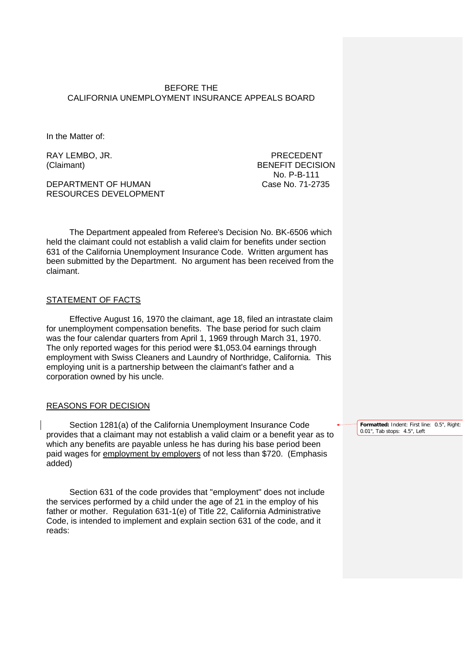BEFORE THE CALIFORNIA UNEMPLOYMENT INSURANCE APPEALS BOARD

In the Matter of:

DEPARTMENT OF HUMAN Case No. 71-2735 RESOURCES DEVELOPMENT

RAY LEMBO, JR. PRECEDENT (Claimant) BENEFIT DECISION No. P-B-111

The Department appealed from Referee's Decision No. BK-6506 which held the claimant could not establish a valid claim for benefits under section 631 of the California Unemployment Insurance Code. Written argument has been submitted by the Department. No argument has been received from the claimant.

## STATEMENT OF FACTS

Effective August 16, 1970 the claimant, age 18, filed an intrastate claim for unemployment compensation benefits. The base period for such claim was the four calendar quarters from April 1, 1969 through March 31, 1970. The only reported wages for this period were \$1,053.04 earnings through employment with Swiss Cleaners and Laundry of Northridge, California. This employing unit is a partnership between the claimant's father and a corporation owned by his uncle.

## REASONS FOR DECISION

Section 1281(a) of the California Unemployment Insurance Code provides that a claimant may not establish a valid claim or a benefit year as to which any benefits are payable unless he has during his base period been paid wages for employment by employers of not less than \$720. (Emphasis added)

Section 631 of the code provides that "employment" does not include the services performed by a child under the age of 21 in the employ of his father or mother. Regulation 631-1(e) of Title 22, California Administrative Code, is intended to implement and explain section 631 of the code, and it reads:

**Formatted:** Indent: First line: 0.5", Right: 0.01", Tab stops: 4.5", Left